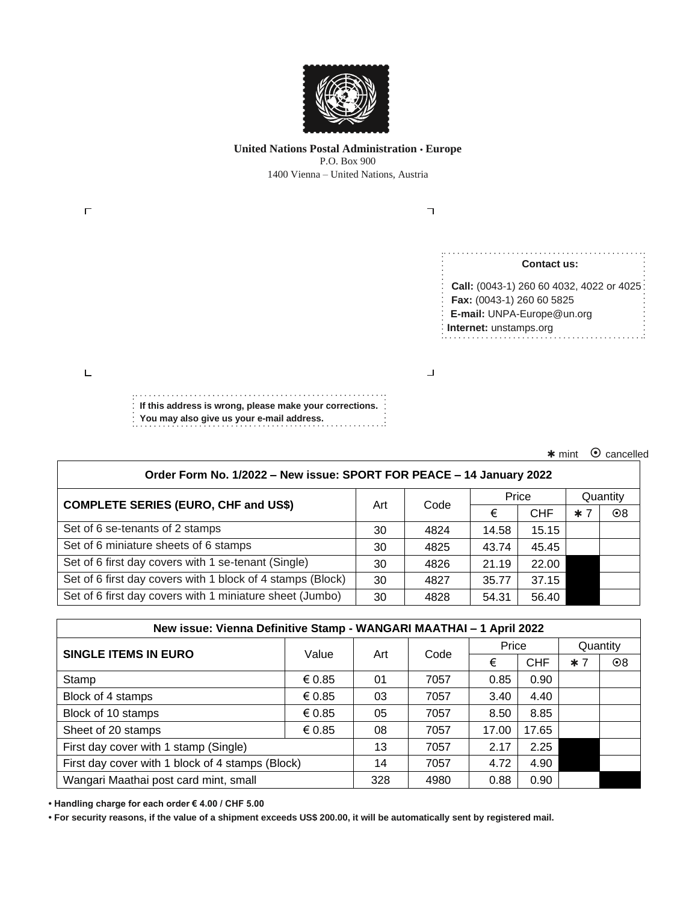

### **United Nations Postal Administration • Europe** P.O. Box 900 1400 Vienna – United Nations, Austria

| <b>Contact us:</b>                        |
|-------------------------------------------|
| Call: (0043-1) 260 60 4032, 4022 or 4025: |
| Fax: (0043-1) 260 60 5825                 |
| E-mail: UNPA-Europe@un.org                |
| : Internet: unstamps.org                  |
|                                           |

 $*$  mint  $\odot$  cancelled

| Order Form No. 1/2022 - New issue: SPORT FOR PEACE - 14 January 2022 |     |      |       |            |          |           |  |  |  |
|----------------------------------------------------------------------|-----|------|-------|------------|----------|-----------|--|--|--|
| <b>COMPLETE SERIES (EURO, CHF and US\$)</b>                          | Art | Code | Price |            | Quantity |           |  |  |  |
|                                                                      |     |      | €     | <b>CHF</b> | $*7$     | $\odot 8$ |  |  |  |
| Set of 6 se-tenants of 2 stamps                                      | 30  | 4824 | 14.58 | 15.15      |          |           |  |  |  |
| Set of 6 miniature sheets of 6 stamps                                | 30  | 4825 | 43.74 | 45.45      |          |           |  |  |  |
| Set of 6 first day covers with 1 se-tenant (Single)                  | 30  | 4826 | 21.19 | 22.00      |          |           |  |  |  |
| Set of 6 first day covers with 1 block of 4 stamps (Block)           | 30  | 4827 | 35.77 | 37.15      |          |           |  |  |  |
| Set of 6 first day covers with 1 miniature sheet (Jumbo)             | 30  | 4828 | 54.31 | 56.40      |          |           |  |  |  |

| New issue: Vienna Definitive Stamp - WANGARI MAATHAI - 1 April 2022 |        |     |      |       |            |          |           |  |  |
|---------------------------------------------------------------------|--------|-----|------|-------|------------|----------|-----------|--|--|
| <b>SINGLE ITEMS IN EURO</b>                                         | Value  | Art | Code | Price |            | Quantity |           |  |  |
|                                                                     |        |     |      | €     | <b>CHF</b> | $*7$     | $\odot 8$ |  |  |
| Stamp                                                               | € 0.85 | 01  | 7057 | 0.85  | 0.90       |          |           |  |  |
| Block of 4 stamps                                                   | € 0.85 | 03  | 7057 | 3.40  | 4.40       |          |           |  |  |
| Block of 10 stamps                                                  | € 0.85 | 05  | 7057 | 8.50  | 8.85       |          |           |  |  |
| Sheet of 20 stamps                                                  | € 0.85 | 08  | 7057 | 17.00 | 17.65      |          |           |  |  |
| First day cover with 1 stamp (Single)                               |        | 13  | 7057 | 2.17  | 2.25       |          |           |  |  |
| First day cover with 1 block of 4 stamps (Block)                    |        | 14  | 7057 | 4.72  | 4.90       |          |           |  |  |
| Wangari Maathai post card mint, small                               |        | 328 | 4980 | 0.88  | 0.90       |          |           |  |  |

**• Handling charge for each order € 4.00 / CHF 5.00**

**• For security reasons, if the value of a shipment exceeds US\$ 200.00, it will be automatically sent by registered mail.**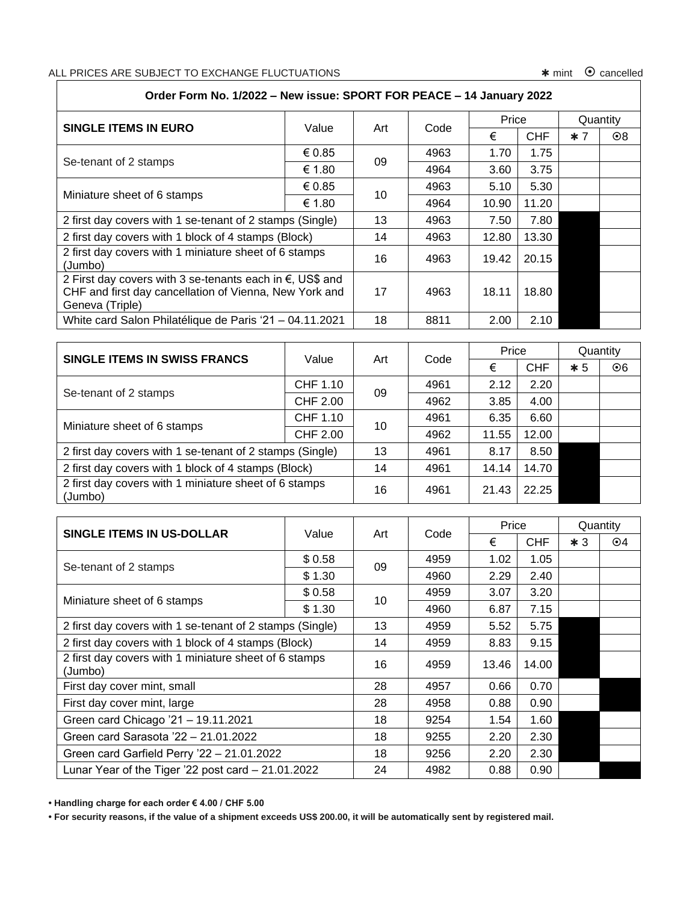# ALL PRICES ARE SUBJECT TO EXCHANGE FLUCTUATIONS **\*** mint  $\odot$  cancelled

## **Order Form No. 1/2022 – New issue: SPORT FOR PEACE – 14 January 2022**

| <b>SINGLE ITEMS IN EURO</b>                                                                                                                     | Value  | Art | Code | Price |            |      | Quantity  |
|-------------------------------------------------------------------------------------------------------------------------------------------------|--------|-----|------|-------|------------|------|-----------|
|                                                                                                                                                 |        |     |      | €     | <b>CHF</b> | $*7$ | $\odot 8$ |
| Se-tenant of 2 stamps                                                                                                                           | € 0.85 |     | 4963 | 1.70  | 1.75       |      |           |
|                                                                                                                                                 | € 1.80 | 09  | 4964 | 3.60  | 3.75       |      |           |
| Miniature sheet of 6 stamps                                                                                                                     | € 0.85 | 10  | 4963 | 5.10  | 5.30       |      |           |
|                                                                                                                                                 | € 1.80 |     | 4964 | 10.90 | 11.20      |      |           |
| 2 first day covers with 1 se-tenant of 2 stamps (Single)                                                                                        |        | 13  | 4963 | 7.50  | 7.80       |      |           |
| 2 first day covers with 1 block of 4 stamps (Block)                                                                                             |        | 14  | 4963 | 12.80 | 13.30      |      |           |
| 2 first day covers with 1 miniature sheet of 6 stamps<br>(Jumbo)                                                                                |        | 16  | 4963 | 19.42 | 20.15      |      |           |
| 2 First day covers with 3 se-tenants each in $\epsilon$ , US\$ and<br>CHF and first day cancellation of Vienna, New York and<br>Geneva (Triple) |        | 17  | 4963 | 18.11 | 18.80      |      |           |
| White card Salon Philatélique de Paris '21 - 04.11.2021                                                                                         |        | 18  | 8811 | 2.00  | 2.10       |      |           |

| SINGLE ITEMS IN SWISS FRANCS                                     | Value           | Art | Code | Price |            | Quantity |           |
|------------------------------------------------------------------|-----------------|-----|------|-------|------------|----------|-----------|
|                                                                  |                 |     |      | €     | <b>CHF</b> | $*5$     | $\odot 6$ |
| Se-tenant of 2 stamps                                            | CHF 1.10        | 09  | 4961 | 2.12  | 2.20       |          |           |
|                                                                  | <b>CHF 2.00</b> |     | 4962 | 3.85  | 4.00       |          |           |
|                                                                  | CHF 1.10        | 10  | 4961 | 6.35  | 6.60       |          |           |
| Miniature sheet of 6 stamps                                      | <b>CHF 2.00</b> |     | 4962 | 11.55 | 12.00      |          |           |
| 2 first day covers with 1 se-tenant of 2 stamps (Single)         |                 | 13  | 4961 | 8.17  | 8.50       |          |           |
| 2 first day covers with 1 block of 4 stamps (Block)              |                 | 14  | 4961 | 14.14 | 14.70      |          |           |
| 2 first day covers with 1 miniature sheet of 6 stamps<br>(Jumbo) |                 | 16  | 4961 | 21.43 | 22.25      |          |           |

|                                                                  | Value  |     | Code | Price |            | Quantity |           |
|------------------------------------------------------------------|--------|-----|------|-------|------------|----------|-----------|
| SINGLE ITEMS IN US-DOLLAR                                        |        | Art |      | €     | <b>CHF</b> | $*3$     | $\odot$ 4 |
|                                                                  | \$0.58 | 09  | 4959 | 1.02  | 1.05       |          |           |
| Se-tenant of 2 stamps                                            | \$1.30 |     | 4960 | 2.29  | 2.40       |          |           |
| Miniature sheet of 6 stamps                                      | \$0.58 |     | 4959 | 3.07  | 3.20       |          |           |
|                                                                  | \$1.30 | 10  | 4960 | 6.87  | 7.15       |          |           |
| 2 first day covers with 1 se-tenant of 2 stamps (Single)         |        | 13  | 4959 | 5.52  | 5.75       |          |           |
| 2 first day covers with 1 block of 4 stamps (Block)              |        | 14  | 4959 | 8.83  | 9.15       |          |           |
| 2 first day covers with 1 miniature sheet of 6 stamps<br>(Jumbo) |        | 16  | 4959 | 13.46 | 14.00      |          |           |
| First day cover mint, small                                      |        | 28  | 4957 | 0.66  | 0.70       |          |           |
| First day cover mint, large                                      |        | 28  | 4958 | 0.88  | 0.90       |          |           |
| Green card Chicago '21 - 19.11.2021                              |        | 18  | 9254 | 1.54  | 1.60       |          |           |
| Green card Sarasota '22 - 21.01.2022                             |        | 18  | 9255 | 2.20  | 2.30       |          |           |
| Green card Garfield Perry '22 - 21.01.2022                       |        | 18  | 9256 | 2.20  | 2.30       |          |           |
| Lunar Year of the Tiger '22 post card $-21.01.2022$              |        | 24  | 4982 | 0.88  | 0.90       |          |           |

**• Handling charge for each order € 4.00 / CHF 5.00**

**• For security reasons, if the value of a shipment exceeds US\$ 200.00, it will be automatically sent by registered mail.**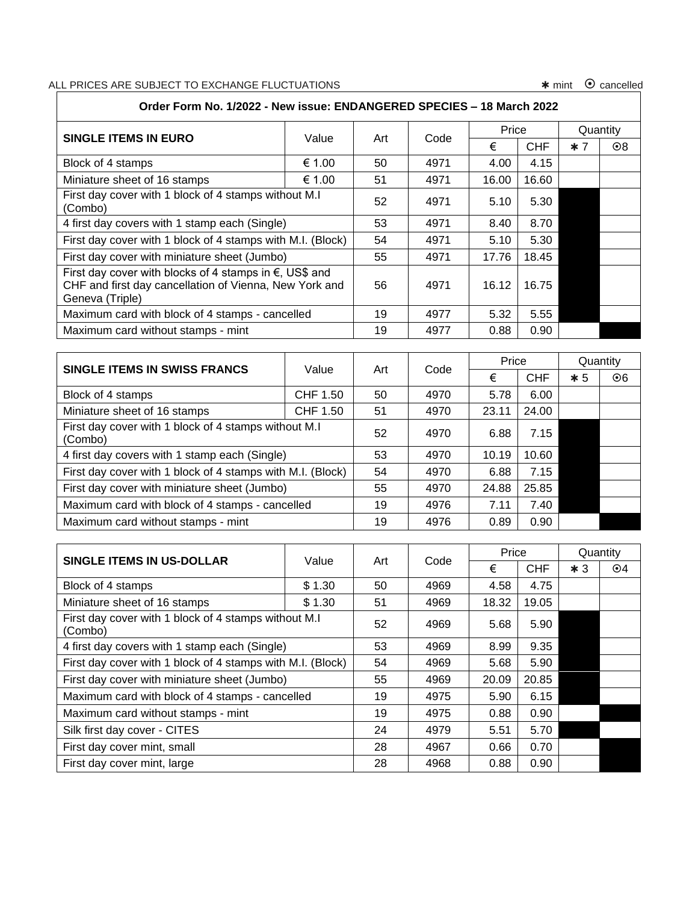# ALL PRICES ARE SUBJECT TO EXCHANGE FLUCTUATIONS mint cancelled

| Order Form No. 1/2022 - New issue: ENDANGERED SPECIES - 18 March 2022                                                                         |        |     |      |       |            |          |           |  |  |
|-----------------------------------------------------------------------------------------------------------------------------------------------|--------|-----|------|-------|------------|----------|-----------|--|--|
| <b>SINGLE ITEMS IN EURO</b>                                                                                                                   | Value  | Art | Code | Price |            | Quantity |           |  |  |
|                                                                                                                                               |        |     |      | €     | <b>CHF</b> | $*7$     | $\odot 8$ |  |  |
| Block of 4 stamps                                                                                                                             | € 1.00 | 50  | 4971 | 4.00  | 4.15       |          |           |  |  |
| Miniature sheet of 16 stamps                                                                                                                  | € 1.00 | 51  | 4971 | 16.00 | 16.60      |          |           |  |  |
| First day cover with 1 block of 4 stamps without M.I<br>(Combo)                                                                               |        | 52  | 4971 | 5.10  | 5.30       |          |           |  |  |
| 4 first day covers with 1 stamp each (Single)                                                                                                 |        | 53  | 4971 | 8.40  | 8.70       |          |           |  |  |
| First day cover with 1 block of 4 stamps with M.I. (Block)                                                                                    |        | 54  | 4971 | 5.10  | 5.30       |          |           |  |  |
| First day cover with miniature sheet (Jumbo)                                                                                                  |        | 55  | 4971 | 17.76 | 18.45      |          |           |  |  |
| First day cover with blocks of 4 stamps in $\epsilon$ , US\$ and<br>CHF and first day cancellation of Vienna, New York and<br>Geneva (Triple) |        | 56  | 4971 | 16.12 | 16.75      |          |           |  |  |
| Maximum card with block of 4 stamps - cancelled                                                                                               |        | 19  | 4977 | 5.32  | 5.55       |          |           |  |  |
| Maximum card without stamps - mint                                                                                                            |        | 19  | 4977 | 0.88  | 0.90       |          |           |  |  |

| <b>SINGLE ITEMS IN SWISS FRANCS</b>                             | Value    | Art | Code | Price |            | Quantity |           |
|-----------------------------------------------------------------|----------|-----|------|-------|------------|----------|-----------|
|                                                                 |          |     |      | €     | <b>CHF</b> | $*5$     | $\odot 6$ |
| Block of 4 stamps                                               | CHF 1.50 | 50  | 4970 | 5.78  | 6.00       |          |           |
| Miniature sheet of 16 stamps                                    | CHF 1.50 | 51  | 4970 | 23.11 | 24.00      |          |           |
| First day cover with 1 block of 4 stamps without M.I<br>(Combo) |          | 52  | 4970 | 6.88  | 7.15       |          |           |
| 4 first day covers with 1 stamp each (Single)                   |          | 53  | 4970 | 10.19 | 10.60      |          |           |
| First day cover with 1 block of 4 stamps with M.I. (Block)      |          | 54  | 4970 | 6.88  | 7.15       |          |           |
| First day cover with miniature sheet (Jumbo)                    |          | 55  | 4970 | 24.88 | 25.85      |          |           |
| Maximum card with block of 4 stamps - cancelled                 |          | 19  | 4976 | 7.11  | 7.40       |          |           |
| Maximum card without stamps - mint                              |          | 19  | 4976 | 0.89  | 0.90       |          |           |

| SINGLE ITEMS IN US-DOLLAR                                       | Value  | Art | Code | Price |            | Quantity |           |
|-----------------------------------------------------------------|--------|-----|------|-------|------------|----------|-----------|
|                                                                 |        |     |      | €     | <b>CHF</b> | $*3$     | $\odot$ 4 |
| Block of 4 stamps                                               | \$1.30 | 50  | 4969 | 4.58  | 4.75       |          |           |
| Miniature sheet of 16 stamps                                    | \$1.30 | 51  | 4969 | 18.32 | 19.05      |          |           |
| First day cover with 1 block of 4 stamps without M.I<br>(Combo) |        | 52  | 4969 | 5.68  | 5.90       |          |           |
| 4 first day covers with 1 stamp each (Single)                   |        | 53  | 4969 | 8.99  | 9.35       |          |           |
| First day cover with 1 block of 4 stamps with M.I. (Block)      |        | 54  | 4969 | 5.68  | 5.90       |          |           |
| First day cover with miniature sheet (Jumbo)                    |        | 55  | 4969 | 20.09 | 20.85      |          |           |
| Maximum card with block of 4 stamps - cancelled                 |        | 19  | 4975 | 5.90  | 6.15       |          |           |
| Maximum card without stamps - mint                              |        | 19  | 4975 | 0.88  | 0.90       |          |           |
| Silk first day cover - CITES                                    |        | 24  | 4979 | 5.51  | 5.70       |          |           |
| First day cover mint, small                                     |        | 28  | 4967 | 0.66  | 0.70       |          |           |
| First day cover mint, large                                     |        | 28  | 4968 | 0.88  | 0.90       |          |           |